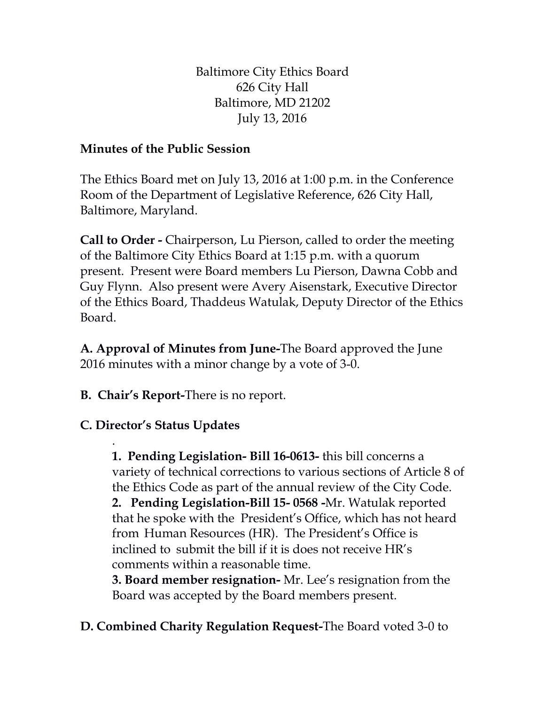Baltimore City Ethics Board 626 City Hall Baltimore, MD 21202 July 13, 2016

## **Minutes of the Public Session**

The Ethics Board met on July 13, 2016 at 1:00 p.m. in the Conference Room of the Department of Legislative Reference, 626 City Hall, Baltimore, Maryland.

**Call to Order -** Chairperson, Lu Pierson, called to order the meeting of the Baltimore City Ethics Board at 1:15 p.m. with a quorum present. Present were Board members Lu Pierson, Dawna Cobb and Guy Flynn. Also present were Avery Aisenstark, Executive Director of the Ethics Board, Thaddeus Watulak, Deputy Director of the Ethics Board.

**A. Approval of Minutes from June-**The Board approved the June 2016 minutes with a minor change by a vote of 3-0.

**B. Chair's Report-**There is no report.

## **C. Director's Status Updates**

. **1. Pending Legislation- Bill 16-0613-** this bill concerns a variety of technical corrections to various sections of Article 8 of the Ethics Code as part of the annual review of the City Code. **2. Pending Legislation-Bill 15- 0568 -**Mr. Watulak reported that he spoke with the President's Office, which has not heard from Human Resources (HR). The President's Office is inclined to submit the bill if it is does not receive HR's comments within a reasonable time.

**3. Board member resignation-** Mr. Lee's resignation from the Board was accepted by the Board members present.

**D. Combined Charity Regulation Request-**The Board voted 3-0 to